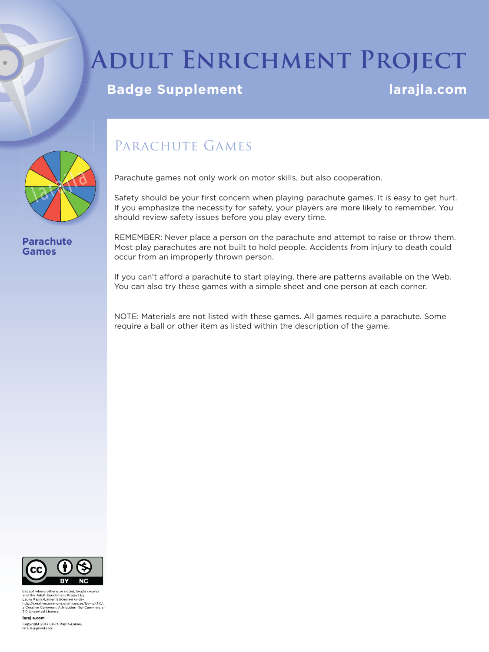# **Adult Enrichment Project**

## **Badge Supplement Larage Supplement Larajla.com**



**Parachute Games**

## PARACHUTE GAMES

Parachute games not only work on motor skills, but also cooperation.

Safety should be your first concern when playing parachute games. It is easy to get hurt. If you emphasize the necessity for safety, your players are more likely to remember. You should review safety issues before you play every time.

REMEMBER: Never place a person on the parachute and attempt to raise or throw them. Most play parachutes are not built to hold people. Accidents from injury to death could occur from an improperly thrown person.

If you can't afford a parachute to start playing, there are patterns available on the Web. You can also try these games with a simple sheet and one person at each corner.

NOTE: Materials are not listed with these games. All games require a parachute. Some require a ball or other item as listed within the description of the game.



Except where otherwise noted, *larajla creates*<br>and the Adult Enrichment Project by<br>Laura Rajaic-Lanier is licensed under<br>http://creativecommons.org/licenses/by-nc/3.0/,<br>a Creative Commons Attribution-NonCommercia a Creative Commons A<br>3.0 Unported License

larajla com

Copyright 2013 Laura Rajsic-Lanier,<br>larajla@gmail.com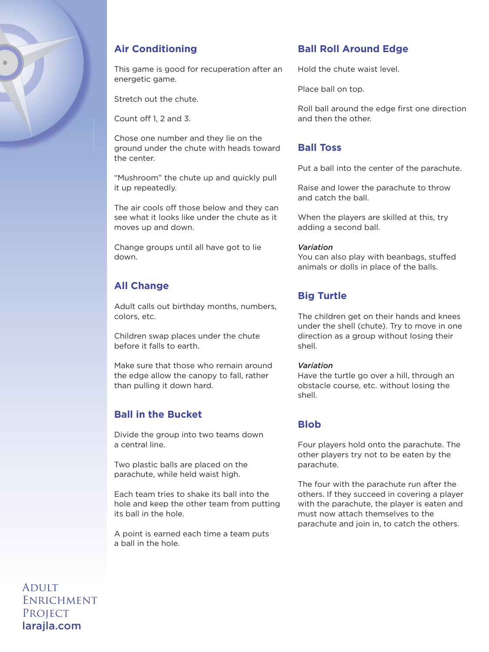

## **Air Conditioning**

This game is good for recuperation after an energetic game.

Stretch out the chute.

Count off 1, 2 and 3.

Chose one number and they lie on the ground under the chute with heads toward the center.

"Mushroom" the chute up and quickly pull it up repeatedly.

The air cools off those below and they can see what it looks like under the chute as it moves up and down.

Change groups until all have got to lie down.

## **All Change**

Adult calls out birthday months, numbers, colors, etc.

Children swap places under the chute before it falls to earth.

Make sure that those who remain around the edge allow the canopy to fall, rather than pulling it down hard.

## **Ball in the Bucket**

Divide the group into two teams down a central line.

Two plastic balls are placed on the parachute, while held waist high.

Each team tries to shake its ball into the hole and keep the other team from putting its ball in the hole.

A point is earned each time a team puts a ball in the hole.

## **Ball Roll Around Edge**

Hold the chute waist level.

Place ball on top.

Roll ball around the edge first one direction and then the other.

## **Ball Toss**

Put a ball into the center of the parachute.

Raise and lower the parachute to throw and catch the ball.

When the players are skilled at this, try adding a second ball.

#### *Variation*

You can also play with beanbags, stuffed animals or dolls in place of the balls.

## **Big Turtle**

The children get on their hands and knees under the shell (chute). Try to move in one direction as a group without losing their shell.

#### *Variation*

Have the turtle go over a hill, through an obstacle course, etc. without losing the shell.

## **Blob**

Four players hold onto the parachute. The other players try not to be eaten by the parachute.

The four with the parachute run after the others. If they succeed in covering a player with the parachute, the player is eaten and must now attach themselves to the parachute and join in, to catch the others.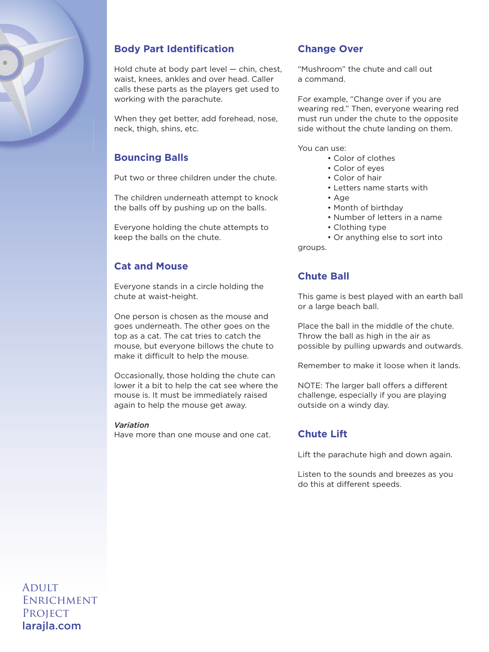

## **Body Part Identification**

Hold chute at body part level — chin, chest, waist, knees, ankles and over head. Caller calls these parts as the players get used to working with the parachute.

When they get better, add forehead, nose, neck, thigh, shins, etc.

## **Bouncing Balls**

Put two or three children under the chute.

The children underneath attempt to knock the balls off by pushing up on the balls.

Everyone holding the chute attempts to keep the balls on the chute.

## **Cat and Mouse**

Everyone stands in a circle holding the chute at waist-height.

One person is chosen as the mouse and goes underneath. The other goes on the top as a cat. The cat tries to catch the mouse, but everyone billows the chute to make it difficult to help the mouse.

Occasionally, those holding the chute can lower it a bit to help the cat see where the mouse is. It must be immediately raised again to help the mouse get away.

#### *Variation*

Have more than one mouse and one cat.

## **Change Over**

"Mushroom" the chute and call out a command.

For example, "Change over if you are wearing red." Then, everyone wearing red must run under the chute to the opposite side without the chute landing on them.

You can use:

- Color of clothes
- Color of eyes
- Color of hair
- Letters name starts with
- Age
- Month of birthday
- Number of letters in a name
- Clothing type

 • Or anything else to sort into groups.

## **Chute Ball**

This game is best played with an earth ball or a large beach ball.

Place the ball in the middle of the chute. Throw the ball as high in the air as possible by pulling upwards and outwards.

Remember to make it loose when it lands.

NOTE: The larger ball offers a different challenge, especially if you are playing outside on a windy day.

## **Chute Lift**

Lift the parachute high and down again.

Listen to the sounds and breezes as you do this at different speeds.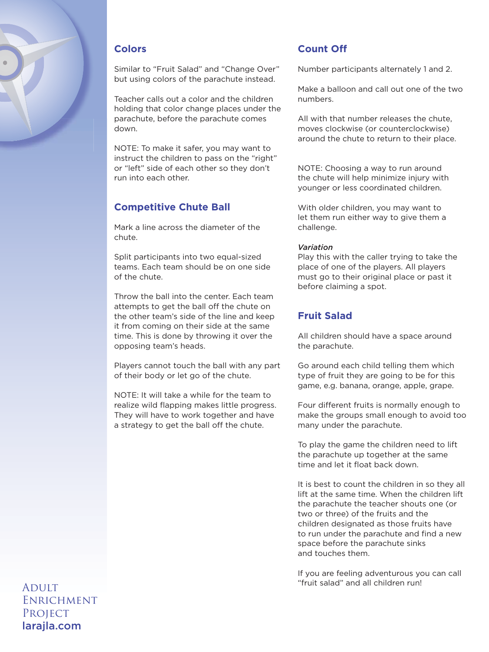

## **Colors**

Similar to "Fruit Salad" and "Change Over" but using colors of the parachute instead.

Teacher calls out a color and the children holding that color change places under the parachute, before the parachute comes down.

NOTE: To make it safer, you may want to instruct the children to pass on the "right" or "left" side of each other so they don't run into each other.

## **Competitive Chute Ball**

Mark a line across the diameter of the chute.

Split participants into two equal-sized teams. Each team should be on one side of the chute.

Throw the ball into the center. Each team attempts to get the ball off the chute on the other team's side of the line and keep it from coming on their side at the same time. This is done by throwing it over the opposing team's heads.

Players cannot touch the ball with any part of their body or let go of the chute.

NOTE: It will take a while for the team to realize wild flapping makes little progress. They will have to work together and have a strategy to get the ball off the chute.

## **Count Off**

Number participants alternately 1 and 2.

Make a balloon and call out one of the two numbers.

All with that number releases the chute, moves clockwise (or counterclockwise) around the chute to return to their place.

NOTE: Choosing a way to run around the chute will help minimize injury with younger or less coordinated children.

With older children, you may want to let them run either way to give them a challenge.

#### *Variation*

Play this with the caller trying to take the place of one of the players. All players must go to their original place or past it before claiming a spot.

## **Fruit Salad**

All children should have a space around the parachute.

Go around each child telling them which type of fruit they are going to be for this game, e.g. banana, orange, apple, grape.

Four different fruits is normally enough to make the groups small enough to avoid too many under the parachute.

To play the game the children need to lift the parachute up together at the same time and let it float back down.

It is best to count the children in so they all lift at the same time. When the children lift the parachute the teacher shouts one (or two or three) of the fruits and the children designated as those fruits have to run under the parachute and find a new space before the parachute sinks and touches them.

If you are feeling adventurous you can call "fruit salad" and all children run!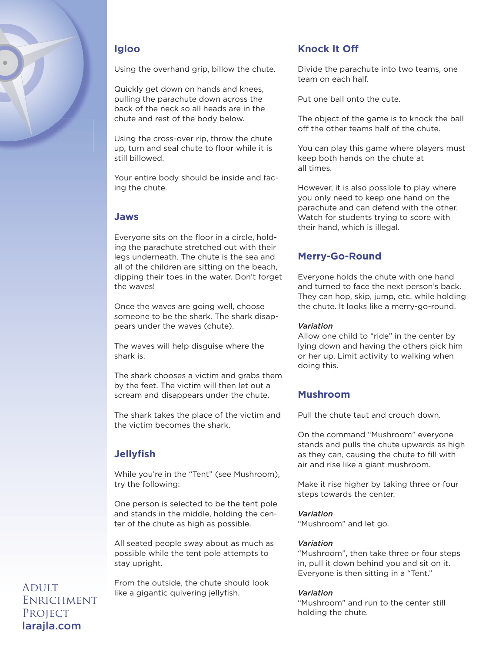

## **Igloo**

Using the overhand grip, billow the chute.

Quickly get down on hands and knees, pulling the parachute down across the back of the neck so all heads are in the chute and rest of the body below.

Using the cross-over rip, throw the chute up, turn and seal chute to floor while it is still billowed.

Your entire body should be inside and facing the chute.

## **Jaws**

Everyone sits on the floor in a circle, holding the parachute stretched out with their legs underneath. The chute is the sea and all of the children are sitting on the beach, dipping their toes in the water. Don't forget the waves!

Once the waves are going well, choose someone to be the shark. The shark disappears under the waves (chute).

The waves will help disguise where the shark is.

The shark chooses a victim and grabs them by the feet. The victim will then let out a scream and disappears under the chute.

The shark takes the place of the victim and the victim becomes the shark.

## **Jellyfi sh**

While you're in the "Tent" (see Mushroom), try the following:

One person is selected to be the tent pole and stands in the middle, holding the center of the chute as high as possible.

All seated people sway about as much as possible while the tent pole attempts to stay upright.

From the outside, the chute should look like a gigantic quivering jellyfish.

## **Knock It Off**

Divide the parachute into two teams, one team on each half.

Put one ball onto the cute.

The object of the game is to knock the ball off the other teams half of the chute.

You can play this game where players must keep both hands on the chute at all times.

However, it is also possible to play where you only need to keep one hand on the parachute and can defend with the other. Watch for students trying to score with their hand, which is illegal.

## **Merry-Go-Round**

Everyone holds the chute with one hand and turned to face the next person's back. They can hop, skip, jump, etc. while holding the chute. It looks like a merry-go-round.

#### *Variation*

Allow one child to "ride" in the center by lying down and having the others pick him or her up. Limit activity to walking when doing this.

## **Mushroom**

Pull the chute taut and crouch down.

On the command "Mushroom" everyone stands and pulls the chute upwards as high as they can, causing the chute to fill with air and rise like a giant mushroom.

Make it rise higher by taking three or four steps towards the center.

#### *Variation*

"Mushroom" and let go.

#### *Variation*

"Mushroom", then take three or four steps in, pull it down behind you and sit on it. Everyone is then sitting in a "Tent."

#### *Variation*

"Mushroom" and run to the center still holding the chute.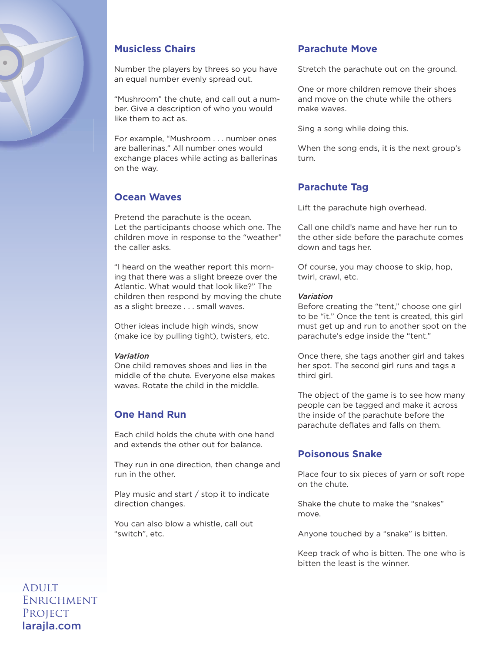

## **Musicless Chairs**

Number the players by threes so you have an equal number evenly spread out.

"Mushroom" the chute, and call out a number. Give a description of who you would like them to act as.

For example, "Mushroom . . . number ones are ballerinas." All number ones would exchange places while acting as ballerinas on the way.

## **Ocean Waves**

Pretend the parachute is the ocean. Let the participants choose which one. The children move in response to the "weather" the caller asks.

"I heard on the weather report this morning that there was a slight breeze over the Atlantic. What would that look like?" The children then respond by moving the chute as a slight breeze . . . small waves.

Other ideas include high winds, snow (make ice by pulling tight), twisters, etc.

#### *Variation*

One child removes shoes and lies in the middle of the chute. Everyone else makes waves. Rotate the child in the middle.

## **One Hand Run**

Each child holds the chute with one hand and extends the other out for balance.

They run in one direction, then change and run in the other.

Play music and start / stop it to indicate direction changes.

You can also blow a whistle, call out "switch", etc.

## **Parachute Move**

Stretch the parachute out on the ground.

One or more children remove their shoes and move on the chute while the others make waves.

Sing a song while doing this.

When the song ends, it is the next group's turn.

## **Parachute Tag**

Lift the parachute high overhead.

Call one child's name and have her run to the other side before the parachute comes down and tags her.

Of course, you may choose to skip, hop, twirl, crawl, etc.

#### *Variation*

Before creating the "tent," choose one girl to be "it." Once the tent is created, this girl must get up and run to another spot on the parachute's edge inside the "tent."

Once there, she tags another girl and takes her spot. The second girl runs and tags a third girl.

The object of the game is to see how many people can be tagged and make it across the inside of the parachute before the parachute deflates and falls on them.

## **Poisonous Snake**

Place four to six pieces of yarn or soft rope on the chute.

Shake the chute to make the "snakes" move.

Anyone touched by a "snake" is bitten.

Keep track of who is bitten. The one who is bitten the least is the winner.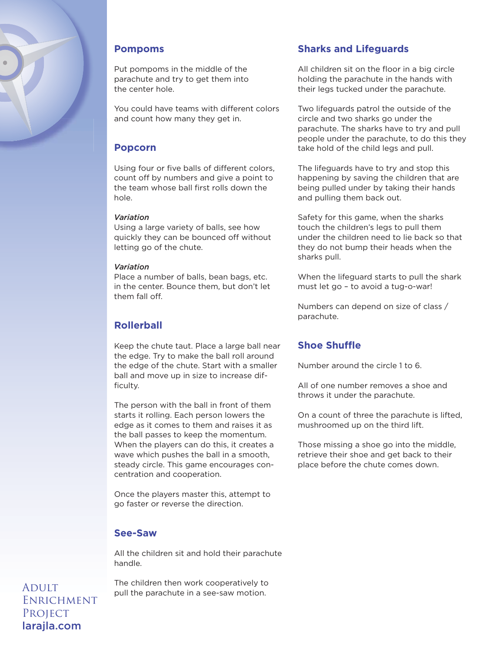

### **Pompoms**

Put pompoms in the middle of the parachute and try to get them into the center hole.

You could have teams with different colors and count how many they get in.

## **Popcorn**

Using four or five balls of different colors, count off by numbers and give a point to the team whose ball first rolls down the hole.

#### *Variation*

Using a large variety of balls, see how quickly they can be bounced off without letting go of the chute.

#### *Variation*

Place a number of balls, bean bags, etc. in the center. Bounce them, but don't let them fall off.

## **Rollerball**

Keep the chute taut. Place a large ball near the edge. Try to make the ball roll around the edge of the chute. Start with a smaller ball and move up in size to increase difficulty.

The person with the ball in front of them starts it rolling. Each person lowers the edge as it comes to them and raises it as the ball passes to keep the momentum. When the players can do this, it creates a wave which pushes the ball in a smooth, steady circle. This game encourages concentration and cooperation.

Once the players master this, attempt to go faster or reverse the direction.

### **See-Saw**

All the children sit and hold their parachute handle.

The children then work cooperatively to pull the parachute in a see-saw motion.

## **Sharks and Lifeguards**

All children sit on the floor in a big circle holding the parachute in the hands with their legs tucked under the parachute.

Two lifeguards patrol the outside of the circle and two sharks go under the parachute. The sharks have to try and pull people under the parachute, to do this they take hold of the child legs and pull.

The lifeguards have to try and stop this happening by saving the children that are being pulled under by taking their hands and pulling them back out.

Safety for this game, when the sharks touch the children's legs to pull them under the children need to lie back so that they do not bump their heads when the sharks pull.

When the lifeguard starts to pull the shark must let go – to avoid a tug-o-war!

Numbers can depend on size of class / parachute.

## **Shoe Shuffle**

Number around the circle 1 to 6.

All of one number removes a shoe and throws it under the parachute.

On a count of three the parachute is lifted, mushroomed up on the third lift.

Those missing a shoe go into the middle, retrieve their shoe and get back to their place before the chute comes down.